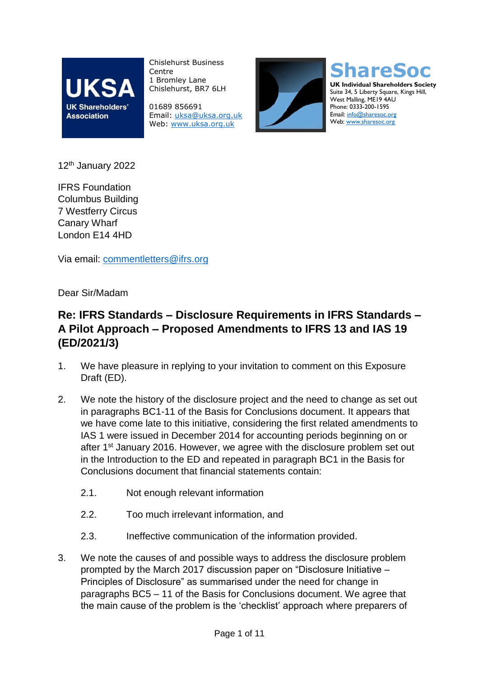

Chislehurst Business Centre 1 Bromley Lane Chislehurst, BR7 6LH

01689 856691 Email: [uksa@uksa.org.uk](mailto:uksa@uksa.org.uk) Web: [www.uksa.org.uk](http://www.uksa.org.uk/)



**ShareSoc UK Individual Shareholders Society** Suite 34, 5 Liberty Square, Kings Hill, West Malling, ME19 4AU Phone: 0333-200-1595 Email[: info@sharesoc.org](mailto:info@sharesoc.org) Web[: www.sharesoc.org](http://www.sharesoc.org/)

12<sup>th</sup> January 2022

IFRS Foundation Columbus Building 7 Westferry Circus Canary Wharf London E14 4HD

Via email: [commentletters@ifrs.org](mailto:commentletters@ifrs.org)

Dear Sir/Madam

## **Re: IFRS Standards – Disclosure Requirements in IFRS Standards – A Pilot Approach – Proposed Amendments to IFRS 13 and IAS 19 (ED/2021/3)**

- 1. We have pleasure in replying to your invitation to comment on this Exposure Draft (ED).
- 2. We note the history of the disclosure project and the need to change as set out in paragraphs BC1-11 of the Basis for Conclusions document. It appears that we have come late to this initiative, considering the first related amendments to IAS 1 were issued in December 2014 for accounting periods beginning on or after 1st January 2016. However, we agree with the disclosure problem set out in the Introduction to the ED and repeated in paragraph BC1 in the Basis for Conclusions document that financial statements contain:
	- 2.1. Not enough relevant information
	- 2.2. Too much irrelevant information, and
	- 2.3. Ineffective communication of the information provided.
- 3. We note the causes of and possible ways to address the disclosure problem prompted by the March 2017 discussion paper on "Disclosure Initiative – Principles of Disclosure" as summarised under the need for change in paragraphs BC5 – 11 of the Basis for Conclusions document. We agree that the main cause of the problem is the 'checklist' approach where preparers of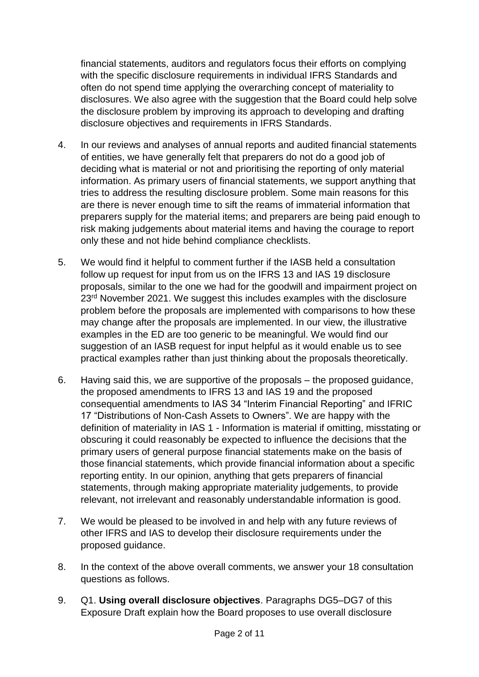financial statements, auditors and regulators focus their efforts on complying with the specific disclosure requirements in individual IFRS Standards and often do not spend time applying the overarching concept of materiality to disclosures. We also agree with the suggestion that the Board could help solve the disclosure problem by improving its approach to developing and drafting disclosure objectives and requirements in IFRS Standards.

- 4. In our reviews and analyses of annual reports and audited financial statements of entities, we have generally felt that preparers do not do a good job of deciding what is material or not and prioritising the reporting of only material information. As primary users of financial statements, we support anything that tries to address the resulting disclosure problem. Some main reasons for this are there is never enough time to sift the reams of immaterial information that preparers supply for the material items; and preparers are being paid enough to risk making judgements about material items and having the courage to report only these and not hide behind compliance checklists.
- 5. We would find it helpful to comment further if the IASB held a consultation follow up request for input from us on the IFRS 13 and IAS 19 disclosure proposals, similar to the one we had for the goodwill and impairment project on 23<sup>rd</sup> November 2021. We suggest this includes examples with the disclosure problem before the proposals are implemented with comparisons to how these may change after the proposals are implemented. In our view, the illustrative examples in the ED are too generic to be meaningful. We would find our suggestion of an IASB request for input helpful as it would enable us to see practical examples rather than just thinking about the proposals theoretically.
- 6. Having said this, we are supportive of the proposals the proposed guidance, the proposed amendments to IFRS 13 and IAS 19 and the proposed consequential amendments to IAS 34 "Interim Financial Reporting" and IFRIC 17 "Distributions of Non-Cash Assets to Owners". We are happy with the definition of materiality in IAS 1 - Information is material if omitting, misstating or obscuring it could reasonably be expected to influence the decisions that the primary users of general purpose financial statements make on the basis of those financial statements, which provide financial information about a specific reporting entity. In our opinion, anything that gets preparers of financial statements, through making appropriate materiality judgements, to provide relevant, not irrelevant and reasonably understandable information is good.
- 7. We would be pleased to be involved in and help with any future reviews of other IFRS and IAS to develop their disclosure requirements under the proposed guidance.
- 8. In the context of the above overall comments, we answer your 18 consultation questions as follows.
- 9. Q1. **Using overall disclosure objectives**. Paragraphs DG5–DG7 of this Exposure Draft explain how the Board proposes to use overall disclosure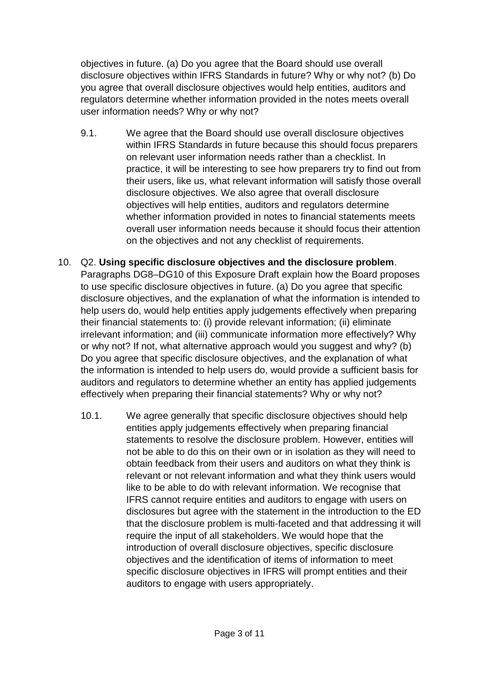objectives in future. (a) Do you agree that the Board should use overall disclosure objectives within IFRS Standards in future? Why or why not? (b) Do you agree that overall disclosure objectives would help entities, auditors and regulators determine whether information provided in the notes meets overall user information needs? Why or why not?

- 9.1. We agree that the Board should use overall disclosure objectives within IFRS Standards in future because this should focus preparers on relevant user information needs rather than a checklist. In practice, it will be interesting to see how preparers try to find out from their users, like us, what relevant information will satisfy those overall disclosure objectives. We also agree that overall disclosure objectives will help entities, auditors and regulators determine whether information provided in notes to financial statements meets overall user information needs because it should focus their attention on the objectives and not any checklist of requirements.
- 10. Q2. **Using specific disclosure objectives and the disclosure problem**. Paragraphs DG8–DG10 of this Exposure Draft explain how the Board proposes to use specific disclosure objectives in future. (a) Do you agree that specific disclosure objectives, and the explanation of what the information is intended to help users do, would help entities apply judgements effectively when preparing their financial statements to: (i) provide relevant information; (ii) eliminate irrelevant information; and (iii) communicate information more effectively? Why or why not? If not, what alternative approach would you suggest and why? (b) Do you agree that specific disclosure objectives, and the explanation of what the information is intended to help users do, would provide a sufficient basis for auditors and regulators to determine whether an entity has applied judgements effectively when preparing their financial statements? Why or why not?
	- 10.1. We agree generally that specific disclosure objectives should help entities apply judgements effectively when preparing financial statements to resolve the disclosure problem. However, entities will not be able to do this on their own or in isolation as they will need to obtain feedback from their users and auditors on what they think is relevant or not relevant information and what they think users would like to be able to do with relevant information. We recognise that IFRS cannot require entities and auditors to engage with users on disclosures but agree with the statement in the introduction to the ED that the disclosure problem is multi-faceted and that addressing it will require the input of all stakeholders. We would hope that the introduction of overall disclosure objectives, specific disclosure objectives and the identification of items of information to meet specific disclosure objectives in IFRS will prompt entities and their auditors to engage with users appropriately.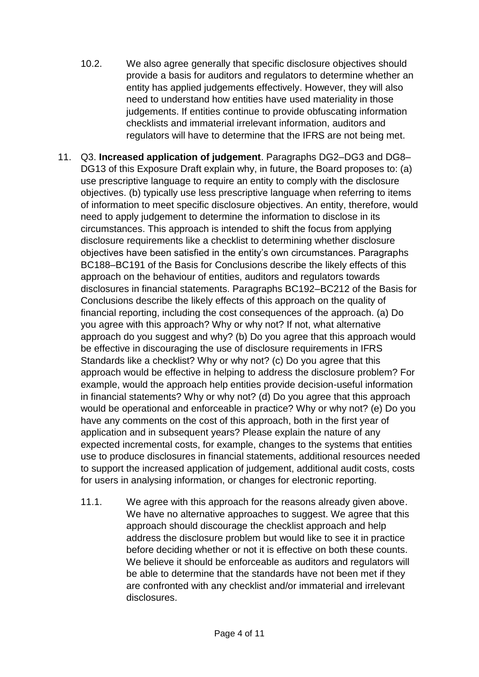- 10.2. We also agree generally that specific disclosure objectives should provide a basis for auditors and regulators to determine whether an entity has applied judgements effectively. However, they will also need to understand how entities have used materiality in those judgements. If entities continue to provide obfuscating information checklists and immaterial irrelevant information, auditors and regulators will have to determine that the IFRS are not being met.
- 11. Q3. **Increased application of judgement**. Paragraphs DG2–DG3 and DG8– DG13 of this Exposure Draft explain why, in future, the Board proposes to: (a) use prescriptive language to require an entity to comply with the disclosure objectives. (b) typically use less prescriptive language when referring to items of information to meet specific disclosure objectives. An entity, therefore, would need to apply judgement to determine the information to disclose in its circumstances. This approach is intended to shift the focus from applying disclosure requirements like a checklist to determining whether disclosure objectives have been satisfied in the entity's own circumstances. Paragraphs BC188–BC191 of the Basis for Conclusions describe the likely effects of this approach on the behaviour of entities, auditors and regulators towards disclosures in financial statements. Paragraphs BC192–BC212 of the Basis for Conclusions describe the likely effects of this approach on the quality of financial reporting, including the cost consequences of the approach. (a) Do you agree with this approach? Why or why not? If not, what alternative approach do you suggest and why? (b) Do you agree that this approach would be effective in discouraging the use of disclosure requirements in IFRS Standards like a checklist? Why or why not? (c) Do you agree that this approach would be effective in helping to address the disclosure problem? For example, would the approach help entities provide decision-useful information in financial statements? Why or why not? (d) Do you agree that this approach would be operational and enforceable in practice? Why or why not? (e) Do you have any comments on the cost of this approach, both in the first year of application and in subsequent years? Please explain the nature of any expected incremental costs, for example, changes to the systems that entities use to produce disclosures in financial statements, additional resources needed to support the increased application of judgement, additional audit costs, costs for users in analysing information, or changes for electronic reporting.
	- 11.1. We agree with this approach for the reasons already given above. We have no alternative approaches to suggest. We agree that this approach should discourage the checklist approach and help address the disclosure problem but would like to see it in practice before deciding whether or not it is effective on both these counts. We believe it should be enforceable as auditors and regulators will be able to determine that the standards have not been met if they are confronted with any checklist and/or immaterial and irrelevant disclosures.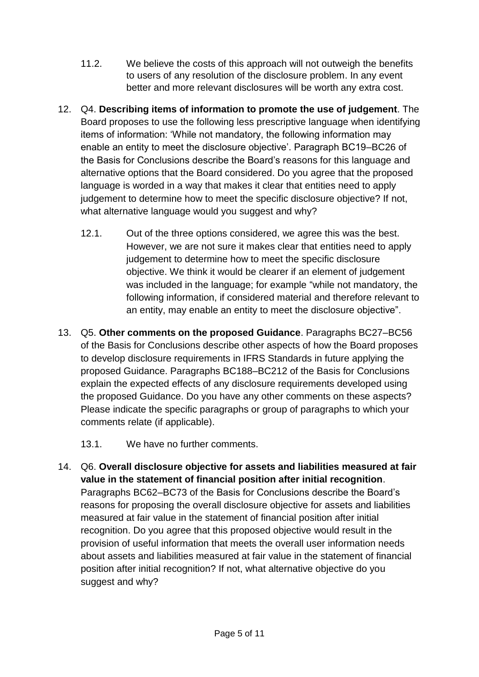- 11.2. We believe the costs of this approach will not outweigh the benefits to users of any resolution of the disclosure problem. In any event better and more relevant disclosures will be worth any extra cost.
- 12. Q4. **Describing items of information to promote the use of judgement**. The Board proposes to use the following less prescriptive language when identifying items of information: 'While not mandatory, the following information may enable an entity to meet the disclosure objective'. Paragraph BC19–BC26 of the Basis for Conclusions describe the Board's reasons for this language and alternative options that the Board considered. Do you agree that the proposed language is worded in a way that makes it clear that entities need to apply judgement to determine how to meet the specific disclosure objective? If not, what alternative language would you suggest and why?
	- 12.1. Out of the three options considered, we agree this was the best. However, we are not sure it makes clear that entities need to apply judgement to determine how to meet the specific disclosure objective. We think it would be clearer if an element of judgement was included in the language; for example "while not mandatory, the following information, if considered material and therefore relevant to an entity, may enable an entity to meet the disclosure objective".
- 13. Q5. **Other comments on the proposed Guidance**. Paragraphs BC27–BC56 of the Basis for Conclusions describe other aspects of how the Board proposes to develop disclosure requirements in IFRS Standards in future applying the proposed Guidance. Paragraphs BC188–BC212 of the Basis for Conclusions explain the expected effects of any disclosure requirements developed using the proposed Guidance. Do you have any other comments on these aspects? Please indicate the specific paragraphs or group of paragraphs to which your comments relate (if applicable).
	- 13.1. We have no further comments.
- 14. Q6. **Overall disclosure objective for assets and liabilities measured at fair value in the statement of financial position after initial recognition**. Paragraphs BC62–BC73 of the Basis for Conclusions describe the Board's reasons for proposing the overall disclosure objective for assets and liabilities measured at fair value in the statement of financial position after initial recognition. Do you agree that this proposed objective would result in the provision of useful information that meets the overall user information needs about assets and liabilities measured at fair value in the statement of financial position after initial recognition? If not, what alternative objective do you suggest and why?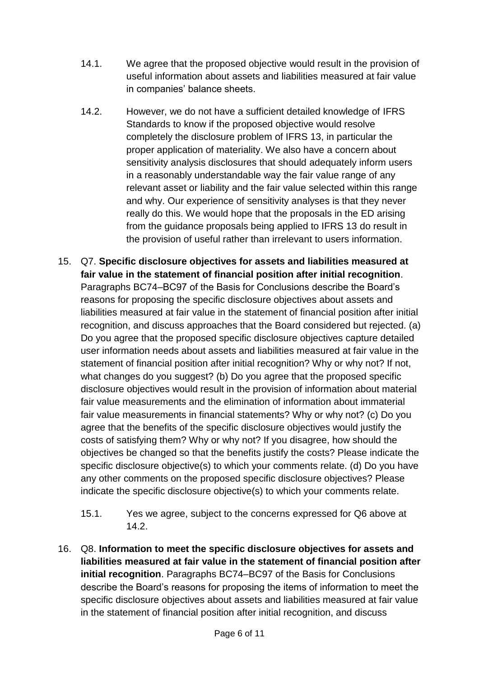- 14.1. We agree that the proposed objective would result in the provision of useful information about assets and liabilities measured at fair value in companies' balance sheets.
- 14.2. However, we do not have a sufficient detailed knowledge of IFRS Standards to know if the proposed objective would resolve completely the disclosure problem of IFRS 13, in particular the proper application of materiality. We also have a concern about sensitivity analysis disclosures that should adequately inform users in a reasonably understandable way the fair value range of any relevant asset or liability and the fair value selected within this range and why. Our experience of sensitivity analyses is that they never really do this. We would hope that the proposals in the ED arising from the guidance proposals being applied to IFRS 13 do result in the provision of useful rather than irrelevant to users information.
- 15. Q7. **Specific disclosure objectives for assets and liabilities measured at fair value in the statement of financial position after initial recognition**. Paragraphs BC74–BC97 of the Basis for Conclusions describe the Board's reasons for proposing the specific disclosure objectives about assets and liabilities measured at fair value in the statement of financial position after initial recognition, and discuss approaches that the Board considered but rejected. (a) Do you agree that the proposed specific disclosure objectives capture detailed user information needs about assets and liabilities measured at fair value in the statement of financial position after initial recognition? Why or why not? If not, what changes do you suggest? (b) Do you agree that the proposed specific disclosure objectives would result in the provision of information about material fair value measurements and the elimination of information about immaterial fair value measurements in financial statements? Why or why not? (c) Do you agree that the benefits of the specific disclosure objectives would justify the costs of satisfying them? Why or why not? If you disagree, how should the objectives be changed so that the benefits justify the costs? Please indicate the specific disclosure objective(s) to which your comments relate. (d) Do you have any other comments on the proposed specific disclosure objectives? Please indicate the specific disclosure objective(s) to which your comments relate.
	- 15.1. Yes we agree, subject to the concerns expressed for Q6 above at 14.2.
- 16. Q8. **Information to meet the specific disclosure objectives for assets and liabilities measured at fair value in the statement of financial position after initial recognition**. Paragraphs BC74–BC97 of the Basis for Conclusions describe the Board's reasons for proposing the items of information to meet the specific disclosure objectives about assets and liabilities measured at fair value in the statement of financial position after initial recognition, and discuss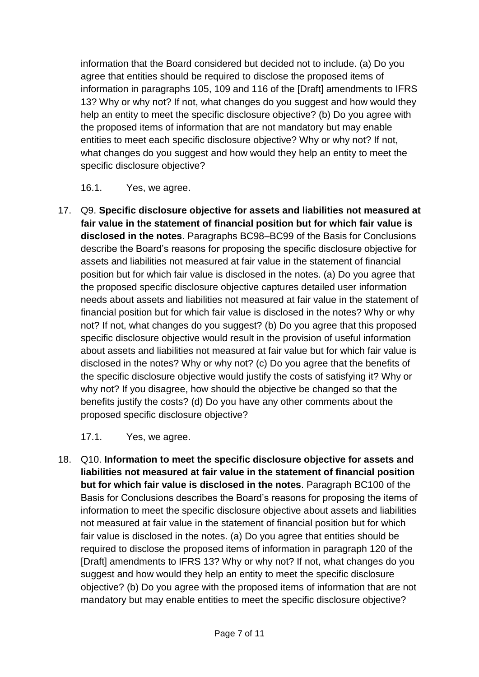information that the Board considered but decided not to include. (a) Do you agree that entities should be required to disclose the proposed items of information in paragraphs 105, 109 and 116 of the [Draft] amendments to IFRS 13? Why or why not? If not, what changes do you suggest and how would they help an entity to meet the specific disclosure objective? (b) Do you agree with the proposed items of information that are not mandatory but may enable entities to meet each specific disclosure objective? Why or why not? If not, what changes do you suggest and how would they help an entity to meet the specific disclosure objective?

16.1. Yes, we agree.

17. Q9. **Specific disclosure objective for assets and liabilities not measured at fair value in the statement of financial position but for which fair value is disclosed in the notes**. Paragraphs BC98–BC99 of the Basis for Conclusions describe the Board's reasons for proposing the specific disclosure objective for assets and liabilities not measured at fair value in the statement of financial position but for which fair value is disclosed in the notes. (a) Do you agree that the proposed specific disclosure objective captures detailed user information needs about assets and liabilities not measured at fair value in the statement of financial position but for which fair value is disclosed in the notes? Why or why not? If not, what changes do you suggest? (b) Do you agree that this proposed specific disclosure objective would result in the provision of useful information about assets and liabilities not measured at fair value but for which fair value is disclosed in the notes? Why or why not? (c) Do you agree that the benefits of the specific disclosure objective would justify the costs of satisfying it? Why or why not? If you disagree, how should the objective be changed so that the benefits justify the costs? (d) Do you have any other comments about the proposed specific disclosure objective?

17.1. Yes, we agree.

18. Q10. **Information to meet the specific disclosure objective for assets and liabilities not measured at fair value in the statement of financial position but for which fair value is disclosed in the notes**. Paragraph BC100 of the Basis for Conclusions describes the Board's reasons for proposing the items of information to meet the specific disclosure objective about assets and liabilities not measured at fair value in the statement of financial position but for which fair value is disclosed in the notes. (a) Do you agree that entities should be required to disclose the proposed items of information in paragraph 120 of the [Draft] amendments to IFRS 13? Why or why not? If not, what changes do you suggest and how would they help an entity to meet the specific disclosure objective? (b) Do you agree with the proposed items of information that are not mandatory but may enable entities to meet the specific disclosure objective?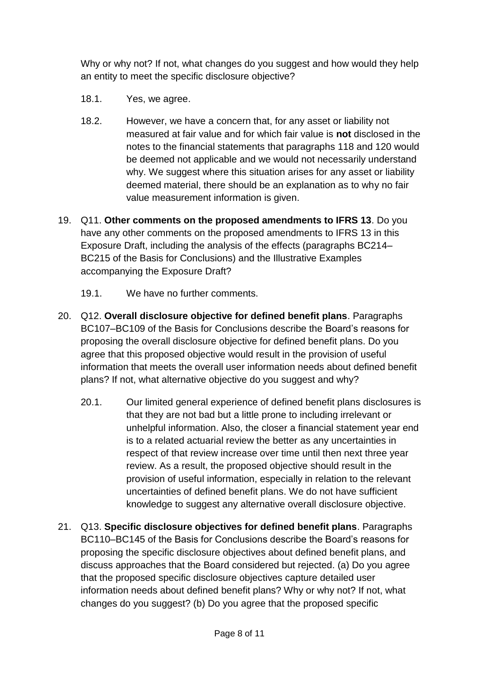Why or why not? If not, what changes do you suggest and how would they help an entity to meet the specific disclosure objective?

- 18.1. Yes, we agree.
- 18.2. However, we have a concern that, for any asset or liability not measured at fair value and for which fair value is **not** disclosed in the notes to the financial statements that paragraphs 118 and 120 would be deemed not applicable and we would not necessarily understand why. We suggest where this situation arises for any asset or liability deemed material, there should be an explanation as to why no fair value measurement information is given.
- 19. Q11. **Other comments on the proposed amendments to IFRS 13**. Do you have any other comments on the proposed amendments to IFRS 13 in this Exposure Draft, including the analysis of the effects (paragraphs BC214– BC215 of the Basis for Conclusions) and the Illustrative Examples accompanying the Exposure Draft?
	- 19.1. We have no further comments.
- 20. Q12. **Overall disclosure objective for defined benefit plans**. Paragraphs BC107–BC109 of the Basis for Conclusions describe the Board's reasons for proposing the overall disclosure objective for defined benefit plans. Do you agree that this proposed objective would result in the provision of useful information that meets the overall user information needs about defined benefit plans? If not, what alternative objective do you suggest and why?
	- 20.1. Our limited general experience of defined benefit plans disclosures is that they are not bad but a little prone to including irrelevant or unhelpful information. Also, the closer a financial statement year end is to a related actuarial review the better as any uncertainties in respect of that review increase over time until then next three year review. As a result, the proposed objective should result in the provision of useful information, especially in relation to the relevant uncertainties of defined benefit plans. We do not have sufficient knowledge to suggest any alternative overall disclosure objective.
- 21. Q13. **Specific disclosure objectives for defined benefit plans**. Paragraphs BC110–BC145 of the Basis for Conclusions describe the Board's reasons for proposing the specific disclosure objectives about defined benefit plans, and discuss approaches that the Board considered but rejected. (a) Do you agree that the proposed specific disclosure objectives capture detailed user information needs about defined benefit plans? Why or why not? If not, what changes do you suggest? (b) Do you agree that the proposed specific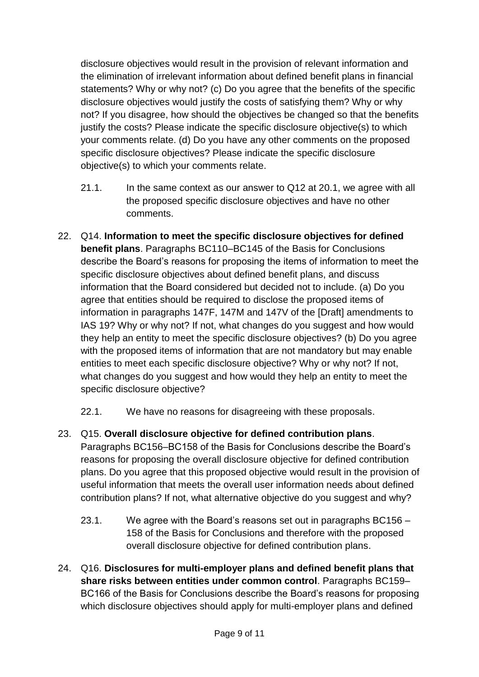disclosure objectives would result in the provision of relevant information and the elimination of irrelevant information about defined benefit plans in financial statements? Why or why not? (c) Do you agree that the benefits of the specific disclosure objectives would justify the costs of satisfying them? Why or why not? If you disagree, how should the objectives be changed so that the benefits justify the costs? Please indicate the specific disclosure objective(s) to which your comments relate. (d) Do you have any other comments on the proposed specific disclosure objectives? Please indicate the specific disclosure objective(s) to which your comments relate.

- 21.1. In the same context as our answer to Q12 at 20.1, we agree with all the proposed specific disclosure objectives and have no other comments.
- 22. Q14. **Information to meet the specific disclosure objectives for defined benefit plans**. Paragraphs BC110–BC145 of the Basis for Conclusions describe the Board's reasons for proposing the items of information to meet the specific disclosure objectives about defined benefit plans, and discuss information that the Board considered but decided not to include. (a) Do you agree that entities should be required to disclose the proposed items of information in paragraphs 147F, 147M and 147V of the [Draft] amendments to IAS 19? Why or why not? If not, what changes do you suggest and how would they help an entity to meet the specific disclosure objectives? (b) Do you agree with the proposed items of information that are not mandatory but may enable entities to meet each specific disclosure objective? Why or why not? If not, what changes do you suggest and how would they help an entity to meet the specific disclosure objective?
	- 22.1. We have no reasons for disagreeing with these proposals.
- 23. Q15. **Overall disclosure objective for defined contribution plans**. Paragraphs BC156–BC158 of the Basis for Conclusions describe the Board's reasons for proposing the overall disclosure objective for defined contribution plans. Do you agree that this proposed objective would result in the provision of useful information that meets the overall user information needs about defined contribution plans? If not, what alternative objective do you suggest and why?
	- 23.1. We agree with the Board's reasons set out in paragraphs BC156 158 of the Basis for Conclusions and therefore with the proposed overall disclosure objective for defined contribution plans.
- 24. Q16. **Disclosures for multi-employer plans and defined benefit plans that share risks between entities under common control**. Paragraphs BC159– BC166 of the Basis for Conclusions describe the Board's reasons for proposing which disclosure objectives should apply for multi-employer plans and defined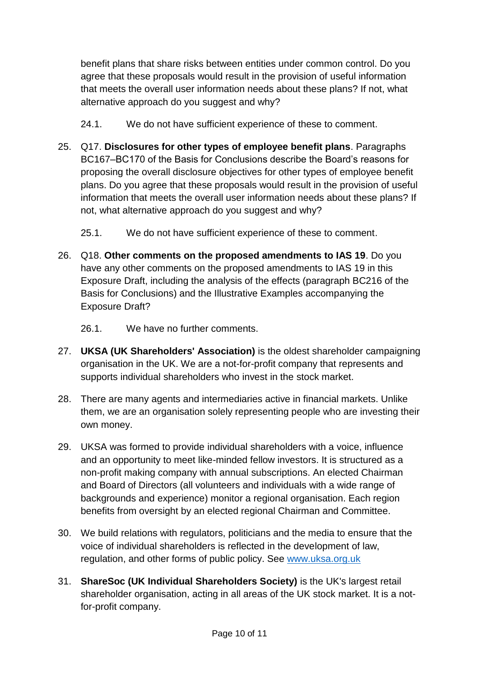benefit plans that share risks between entities under common control. Do you agree that these proposals would result in the provision of useful information that meets the overall user information needs about these plans? If not, what alternative approach do you suggest and why?

- 24.1. We do not have sufficient experience of these to comment.
- 25. Q17. **Disclosures for other types of employee benefit plans**. Paragraphs BC167–BC170 of the Basis for Conclusions describe the Board's reasons for proposing the overall disclosure objectives for other types of employee benefit plans. Do you agree that these proposals would result in the provision of useful information that meets the overall user information needs about these plans? If not, what alternative approach do you suggest and why?
	- 25.1. We do not have sufficient experience of these to comment.
- 26. Q18. **Other comments on the proposed amendments to IAS 19**. Do you have any other comments on the proposed amendments to IAS 19 in this Exposure Draft, including the analysis of the effects (paragraph BC216 of the Basis for Conclusions) and the Illustrative Examples accompanying the Exposure Draft?
	- 26.1. We have no further comments.
- 27. **UKSA (UK Shareholders' Association)** is the oldest shareholder campaigning organisation in the UK. We are a not-for-profit company that represents and supports individual shareholders who invest in the stock market.
- 28. There are many agents and intermediaries active in financial markets. Unlike them, we are an organisation solely representing people who are investing their own money.
- 29. UKSA was formed to provide individual shareholders with a voice, influence and an opportunity to meet like-minded fellow investors. It is structured as a non-profit making company with annual subscriptions. An elected Chairman and Board of Directors (all volunteers and individuals with a wide range of backgrounds and experience) monitor a regional organisation. Each region benefits from oversight by an elected regional Chairman and Committee.
- 30. We build relations with regulators, politicians and the media to ensure that the voice of individual shareholders is reflected in the development of law, regulation, and other forms of public policy. See [www.uksa.org.uk](http://www.uksa.org.uk/)
- 31. **ShareSoc (UK Individual Shareholders Society)** is the UK's largest retail shareholder organisation, acting in all areas of the UK stock market. It is a notfor-profit company.